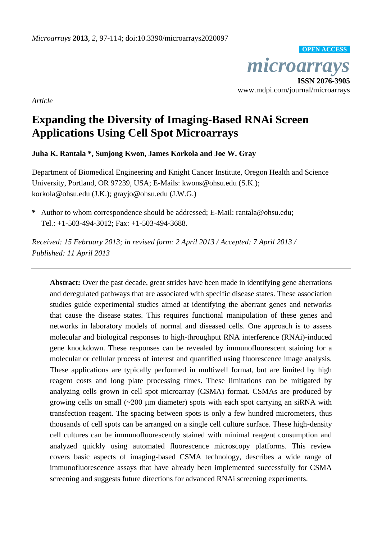*microarrays* **ISSN 2076-3905**

**OPEN ACCESS**

www.mdpi.com/journal/microarrays

*Article*

# **Expanding the Diversity of Imaging-Based RNAi Screen Applications Using Cell Spot Microarrays**

**Juha K. Rantala \*, Sunjong Kwon, James Korkola and Joe W. Gray**

Department of Biomedical Engineering and Knight Cancer Institute, Oregon Health and Science University, Portland, OR 97239, USA; E-Mails: kwons@ohsu.edu (S.K.); korkola@ohsu.edu (J.K.); grayjo@ohsu.edu (J.W.G.)

**\*** Author to whom correspondence should be addressed; E-Mail: rantala@ohsu.edu; Tel.: +1-503-494-3012; Fax: +1-503-494-3688.

*Received: 15 February 2013; in revised form: 2 April 2013 / Accepted: 7 April 2013 / Published: 11 April 2013*

Abstract: Over the past decade, great strides have been made in identifying gene aberrations and deregulated pathways that are associated with specific disease states. These association studies guide experimental studies aimed at identifying the aberrant genes and networks that cause the disease states. This requires functional manipulation of these genes and networks in laboratory models of normal and diseased cells. One approach is to assess molecular and biological responses to high-throughput RNA interference (RNAi)-induced gene knockdown. These responses can be revealed by immunofluorescent staining for a molecular or cellular process of interest and quantified using fluorescence image analysis. These applications are typically performed in multiwell format, but are limited by high reagent costs and long plate processing times. These limitations can be mitigated by analyzing cells grown in cell spot microarray (CSMA) format. CSMAs are produced by growing cells on small  $(-200 \mu m)$  diameter) spots with each spot carrying an siRNA with transfection reagent. The spacing between spots is only a few hundred micrometers, thus thousands of cell spots can be arranged on a single cell culture surface. These high-density cell cultures can be immunofluorescently stained with minimal reagent consumption and analyzed quickly using automated fluorescence microscopy platforms. This review covers basic aspects of imaging-based CSMA technology, describes a wide range of immunofluorescence assays that have already been implemented successfully for CSMA screening and suggests future directions for advanced RNAi screening experiments.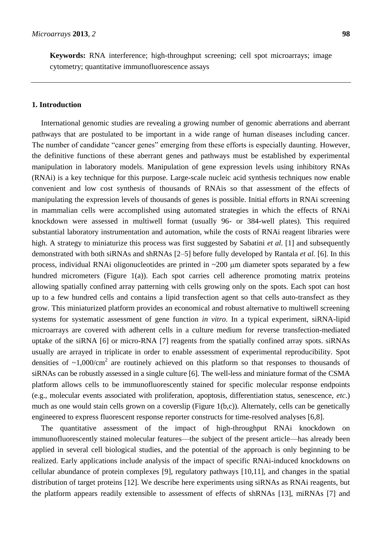**Keywords:** RNA interference; high-throughput screening; cell spot microarrays; image cytometry; quantitative immunofluorescence assays

## **1. Introduction**

International genomic studies are revealing a growing number of genomic aberrations and aberrant pathways that are postulated to be important in a wide range of human diseases including cancer. The number of candidate "cancer genes" emerging from these efforts is especially daunting. However, the definitive functions of these aberrant genes and pathways must be established by experimental manipulation in laboratory models. Manipulation of gene expression levels using inhibitory RNAs (RNAi) is a key technique for this purpose. Large-scale nucleic acid synthesis techniques now enable convenient and low cost synthesis of thousands of RNAis so that assessment of the effects of manipulating the expression levels of thousands of genes is possible. Initial efforts in RNAi screening in mammalian cells were accomplished using automated strategies in which the effects of RNAi knockdown were assessed in multiwell format (usually 96- or 384-well plates). This required substantial laboratory instrumentation and automation, while the costs of RNAi reagent libraries were high. A strategy to miniaturize this process was first suggested by Sabatini *et al.* [1] and subsequently demonstrated with both siRNAs and shRNAs [2–5] before fully developed by Rantala *et al.* [6]. In this process, individual RNAi oligonucleotides are printed in  $\sim$ 200  $\mu$ m diameter spots separated by a few hundred micrometers (Figure 1(a)). Each spot carries cell adherence promoting matrix proteins allowing spatially confined array patterning with cells growing only on the spots. Each spot can host up to a few hundred cells and contains a lipid transfection agent so that cells auto-transfect as they grow. This miniaturized platform provides an economical and robust alternative to multiwell screening systems for systematic assessment of gene function *in vitro*. In a typical experiment, siRNA-lipid microarrays are covered with adherent cells in a culture medium for reverse transfection-mediated uptake of the siRNA [6] or micro-RNA [7] reagents from the spatially confined array spots. siRNAs usually are arrayed in triplicate in order to enable assessment of experimental reproducibility. Spot densities of  $\sim$ 1,000/cm<sup>2</sup> are routinely achieved on this platform so that responses to thousands of siRNAs can be robustly assessed in a single culture [6]. The well-less and miniature format of the CSMA platform allows cells to be immunofluorescently stained for specific molecular response endpoints (e.g., molecular events associated with proliferation, apoptosis, differentiation status, senescence, *etc*.) much as one would stain cells grown on a coverslip (Figure 1(b,c)). Alternately, cells can be genetically engineered to express fluorescent response reporter constructs for time-resolved analyses [6,8].

The quantitative assessment of the impact of high-throughput RNAi knockdown on immunofluorescently stained molecular features—the subject of the present article—has already been applied in several cell biological studies, and the potential of the approach is only beginning to be realized. Early applications include analysis of the impact of specific RNAi-induced knockdowns on cellular abundance of protein complexes [9], regulatory pathways [10,11], and changes in the spatial distribution of target proteins [12]. We describe here experiments using siRNAs as RNAi reagents, but the platform appears readily extensible to assessment of effects of shRNAs [13], miRNAs [7] and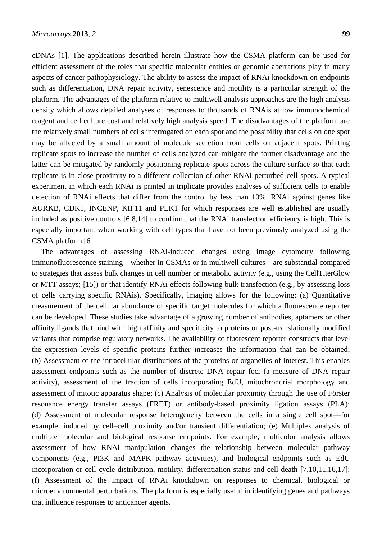cDNAs [1]. The applications described herein illustrate how the CSMA platform can be used for efficient assessment of the roles that specific molecular entities or genomic aberrations play in many aspects of cancer pathophysiology. The ability to assess the impact of RNAi knockdown on endpoints such as differentiation, DNA repair activity, senescence and motility is a particular strength of the platform. The advantages of the platform relative to multiwell analysis approaches are the high analysis density which allows detailed analyses of responses to thousands of RNAis at low immunochemical reagent and cell culture cost and relatively high analysis speed. The disadvantages of the platform are the relatively small numbers of cells interrogated on each spot and the possibility that cells on one spot may be affected by a small amount of molecule secretion from cells on adjacent spots. Printing replicate spots to increase the number of cells analyzed can mitigate the former disadvantage and the latter can be mitigated by randomly positioning replicate spots across the culture surface so that each replicate is in close proximity to a different collection of other RNAi-perturbed cell spots. A typical experiment in which each RNAi is printed in triplicate provides analyses of sufficient cells to enable detection of RNAi effects that differ from the control by less than 10%. RNAi against genes like AURKB, CDK1, INCENP, KIF11 and PLK1 for which responses are well established are usually included as positive controls [6,8,14] to confirm that the RNAi transfection efficiency is high. This is especially important when working with cell types that have not been previously analyzed using the CSMA platform [6].

The advantages of assessing RNAi-induced changes using image cytometry following immunofluorescence staining—whether in CSMAs or in multiwell cultures—are substantial compared to strategies that assess bulk changes in cell number or metabolic activity (e.g., using the CellTiterGlow or MTT assays; [15]) or that identify RNAi effects following bulk transfection (e.g., by assessing loss of cells carrying specific RNAis). Specifically, imaging allows for the following: (a) Quantitative measurement of the cellular abundance of specific target molecules for which a fluorescence reporter can be developed. These studies take advantage of a growing number of antibodies, aptamers or other affinity ligands that bind with high affinity and specificity to proteins or post-translationally modified variants that comprise regulatory networks. The availability of fluorescent reporter constructs that level the expression levels of specific proteins further increases the information that can be obtained; (b) Assessment of the intracellular distributions of the proteins or organelles of interest. This enables assessment endpoints such as the number of discrete DNA repair foci (a measure of DNA repair activity), assessment of the fraction of cells incorporating EdU, mitochrondrial morphology and assessment of mitotic apparatus shape; (c) Analysis of molecular proximity through the use of Förster resonance energy transfer assays (FRET) or antibody-based proximity ligation assays (PLA); (d) Assessment of molecular response heterogeneity between the cells in a single cell spot—for example, induced by cell–cell proximity and/or transient differentiation; (e) Multiplex analysis of multiple molecular and biological response endpoints. For example, multicolor analysis allows assessment of how RNAi manipulation changes the relationship between molecular pathway components (e.g., PI3K and MAPK pathway activities), and biological endpoints such as EdU incorporation or cell cycle distribution, motility, differentiation status and cell death [7,10,11,16,17]; (f) Assessment of the impact of RNAi knockdown on responses to chemical, biological or microenvironmental perturbations. The platform is especially useful in identifying genes and pathways that influence responses to anticancer agents.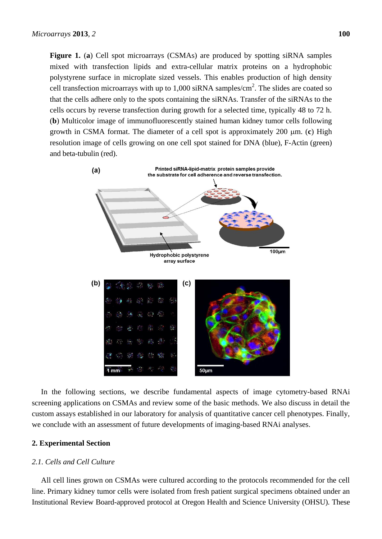**Figure 1.** (a) Cell spot microarrays (CSMAs) are produced by spotting siRNA samples mixed with transfection lipids and extra-cellular matrix proteins on a hydrophobic polystyrene surface in microplate sized vessels. This enables production of high density cell transfection microarrays with up to  $1,000$  siRNA samples/cm<sup>2</sup>. The slides are coated so that the cells adhere only to the spots containing the siRNAs. Transfer of the siRNAs to the cells occurs by reverse transfection during growth for a selected time, typically 48 to 72 h. (**b**) Multicolor image of immunofluorescently stained human kidney tumor cells following growth in CSMA format. The diameter of a cell spot is approximately 200  $\mu$ m. (**c**) High resolution image of cells growing on one cell spot stained for DNA (blue), F-Actin (green) and beta-tubulin (red).



In the following sections, we describe fundamental aspects of image cytometry-based RNAi screening applications on CSMAs and review some of the basic methods. We also discuss in detail the custom assays established in our laboratory for analysis of quantitative cancer cell phenotypes. Finally, we conclude with an assessment of future developments of imaging-based RNAi analyses.

#### **2. Experimental Section**

## *2.1. Cells and Cell Culture*

All cell lines grown on CSMAs were cultured according to the protocols recommended for the cell line. Primary kidney tumor cells were isolated from fresh patient surgical specimens obtained under an Institutional Review Board-approved protocol at Oregon Health and Science University (OHSU). These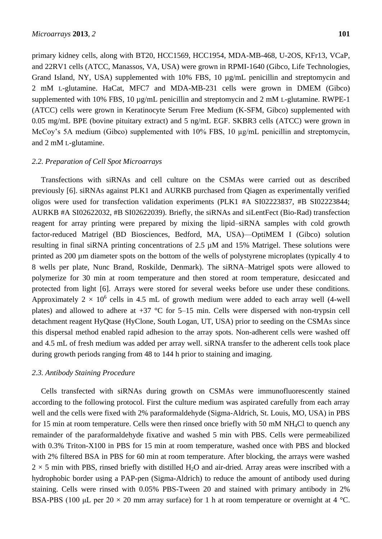primary kidney cells, along with BT20, HCC1569, HCC1954, MDA-MB-468, U-2OS, KFr13, VCaP, and 22RV1 cells (ATCC, Manassos, VA, USA) were grown in RPMI-1640 (Gibco, Life Technologies, Grand Island, NY, USA) supplemented with 10% FBS, 10 µg/mL penicillin and streptomycin and 2 mM L-glutamine. HaCat, MFC7 and MDA-MB-231 cells were grown in DMEM (Gibco) supplemented with 10% FBS, 10  $\mu$ g/mL penicillin and streptomycin and 2 mM L-glutamine. RWPE-1 (ATCC) cells were grown in Keratinocyte Serum Free Medium (K-SFM, Gibco) supplemented with 0.05 mg/mL BPE (bovine pituitary extract) and 5 ng/mL EGF. SKBR3 cells (ATCC) were grown in McCoy's 5A medium (Gibco) supplemented with 10% FBS, 10  $\mu$ g/mL penicillin and streptomycin, and 2 mM L-glutamine.

## *2.2. Preparation of Cell Spot Microarrays*

Transfections with siRNAs and cell culture on the CSMAs were carried out as described previously [6]. siRNAs against PLK1 and AURKB purchased from Qiagen as experimentally verified oligos were used for transfection validation experiments (PLK1 #A SI02223837, #B SI02223844; AURKB #A SI02622032, #B SI02622039). Briefly, the siRNAs and siLentFect (Bio-Rad) transfection reagent for array printing were prepared by mixing the lipid–siRNA samples with cold growth factor-reduced Matrigel (BD Biosciences, Bedford, MA, USA)—OptiMEM I (Gibco) solution resulting in final siRNA printing concentrations of 2.5 µM and 15% Matrigel. These solutions were printed as 200 µm diameter spots on the bottom of the wells of polystyrene microplates (typically 4 to 8 wells per plate, Nunc Brand, Roskilde, Denmark). The siRNA–Matrigel spots were allowed to polymerize for 30 min at room temperature and then stored at room temperature, desiccated and protected from light [6]. Arrays were stored for several weeks before use under these conditions. Approximately 2  $\times$  10<sup>6</sup> cells in 4.5 mL of growth medium were added to each array well (4-well plates) and allowed to adhere at  $+37$  °C for 5–15 min. Cells were dispersed with non-trypsin cell detachment reagent HyQtase (HyClone, South Logan, UT, USA) prior to seeding on the CSMAs since this dispersal method enabled rapid adhesion to the array spots. Non-adherent cells were washed off and 4.5 mL of fresh medium was added per array well. siRNA transfer to the adherent cells took place during growth periods ranging from 48 to 144 h prior to staining and imaging.

## *2.3. Antibody Staining Procedure*

Cells transfected with siRNAs during growth on CSMAs were immunofluorescently stained according to the following protocol. First the culture medium was aspirated carefully from each array well and the cells were fixed with 2% paraformaldehyde (Sigma-Aldrich, St. Louis, MO, USA) in PBS for 15 min at room temperature. Cells were then rinsed once briefly with 50 mM NH<sub>4</sub>Cl to quench any remainder of the paraformaldehyde fixative and washed 5 min with PBS. Cells were permeabilized with 0.3% Triton-X100 in PBS for 15 min at room temperature, washed once with PBS and blocked with 2% filtered BSA in PBS for 60 min at room temperature. After blocking, the arrays were washed  $2 \times 5$  min with PBS, rinsed briefly with distilled H<sub>2</sub>O and air-dried. Array areas were inscribed with a hydrophobic border using a PAP-pen (Sigma-Aldrich) to reduce the amount of antibody used during staining. Cells were rinsed with 0.05% PBS-Tween 20 and stained with primary antibody in 2% BSA-PBS (100 µL per 20  $\times$  20 mm array surface) for 1 h at room temperature or overnight at 4 °C.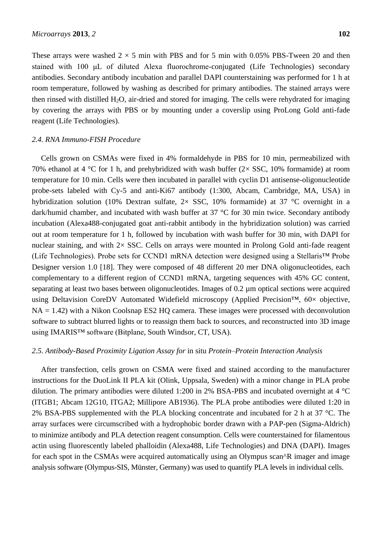These arrays were washed  $2 \times 5$  min with PBS and for 5 min with 0.05% PBS-Tween 20 and then stained with 100 μL of diluted Alexa fluorochrome-conjugated (Life Technologies) secondary antibodies. Secondary antibody incubation and parallel DAPI counterstaining was performed for 1 h at room temperature, followed by washing as described for primary antibodies. The stained arrays were then rinsed with distilled  $H_2O$ , air-dried and stored for imaging. The cells were rehydrated for imaging by covering the arrays with PBS or by mounting under a coverslip using ProLong Gold anti-fade reagent (Life Technologies).

## *2.4. RNA Immuno-FISH Procedure*

Cells grown on CSMAs were fixed in 4% formaldehyde in PBS for 10 min, permeabilized with 70% ethanol at 4 °C for 1 h, and prehybridized with wash buffer  $(2 \times SSC, 10\%$  formamide) at room temperature for 10 min. Cells were then incubated in parallel with cyclin D1 antisense-oligonucleotide probe-sets labeled with Cy-5 and anti-Ki67 antibody (1:300, Abcam, Cambridge, MA, USA) in hybridization solution (10% Dextran sulfate,  $2 \times SSC$ , 10% formamide) at 37 °C overnight in a dark/humid chamber, and incubated with wash buffer at 37  $\degree$ C for 30 min twice. Secondary antibody incubation (Alexa488-conjugated goat anti-rabbit antibody in the hybridization solution) was carried out at room temperature for 1 h, followed by incubation with wash buffer for 30 min, with DAPI for nuclear staining, and with  $2 \times SSC$ . Cells on arrays were mounted in Prolong Gold anti-fade reagent (Life Technologies). Probe sets for CCND1 mRNA detection were designed using a Stellaris™ Probe Designer version 1.0 [18]. They were composed of 48 different 20 mer DNA oligonucleotides, each complementary to a different region of CCND1 mRNA, targeting sequences with 45% GC content, separating at least two bases between oligonucleotides. Images of 0.2  $\mu$ m optical sections were acquired using Deltavision CoreDV Automated Widefield microscopy (Applied Precision™, 60× objective,  $NA = 1.42$ ) with a Nikon Coolsnap ES2 HQ camera. These images were processed with deconvolution software to subtract blurred lights or to reassign them back to sources, and reconstructed into 3D image using IMARIS™ software (Bitplane, South Windsor, CT, USA).

### *2.5. Antibody-Based Proximity Ligation Assay for* in situ *Protein–Protein Interaction Analysis*

After transfection, cells grown on CSMA were fixed and stained according to the manufacturer instructions for the DuoLink II PLA kit (Olink, Uppsala, Sweden) with a minor change in PLA probe dilution. The primary antibodies were diluted 1:200 in 2% BSA-PBS and incubated overnight at 4  $\degree$ C (ITGB1; Abcam 12G10, ITGA2; Millipore AB1936). The PLA probe antibodies were diluted 1:20 in 2% BSA-PBS supplemented with the PLA blocking concentrate and incubated for 2 h at 37 °C. The array surfaces were circumscribed with a hydrophobic border drawn with a PAP-pen (Sigma-Aldrich) to minimize antibody and PLA detection reagent consumption. Cells were counterstained for filamentous actin using fluorescently labeled phalloidin (Alexa488, Life Technologies) and DNA (DAPI). Images for each spot in the CSMAs were acquired automatically using an Olympus scan^R imager and image analysis software (Olympus-SIS, Münster, Germany) was used to quantify PLA levels in individual cells.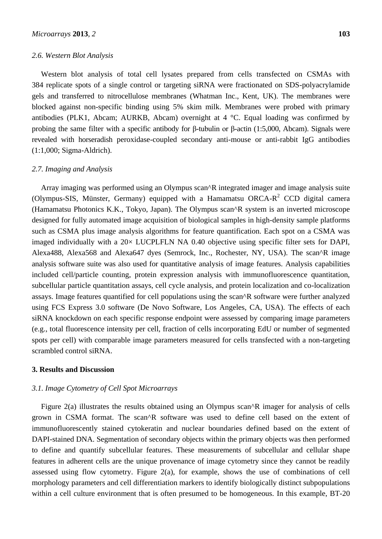#### *2.6. Western Blot Analysis*

Western blot analysis of total cell lysates prepared from cells transfected on CSMAs with 384 replicate spots of a single control or targeting siRNA were fractionated on SDS-polyacrylamide gels and transferred to nitrocellulose membranes (Whatman Inc., Kent, UK). The membranes were blocked against non-specific binding using 5% skim milk. Membranes were probed with primary antibodies (PLK1, Abcam; AURKB, Abcam) overnight at  $4 \, \text{C}$ . Equal loading was confirmed by probing the same filter with a specific antibody for β-tubulin or β-actin (1:5,000, Abcam). Signals were revealed with horseradish peroxidase-coupled secondary anti-mouse or anti-rabbit IgG antibodies (1:1,000; Sigma-Aldrich).

## *2.7. Imaging and Analysis*

Array imaging was performed using an Olympus scan^R integrated imager and image analysis suite (Olympus-SIS, Münster, Germany) equipped with a Hamamatsu ORCA- $R^2$  CCD digital camera (Hamamatsu Photonics K.K., Tokyo, Japan). The Olympus scan^R system is an inverted microscope designed for fully automated image acquisition of biological samples in high-density sample platforms such as CSMA plus image analysis algorithms for feature quantification. Each spot on a CSMA was imaged individually with a  $20 \times$  LUCPLFLN NA 0.40 objective using specific filter sets for DAPI, Alexa488, Alexa568 and Alexa647 dyes (Semrock, Inc., Rochester, NY, USA). The scan^R image analysis software suite was also used for quantitative analysis of image features. Analysis capabilities included cell/particle counting, protein expression analysis with immunofluorescence quantitation, subcellular particle quantitation assays, cell cycle analysis, and protein localization and co-localization assays. Image features quantified for cell populations using the scan^R software were further analyzed using FCS Express 3.0 software (De Novo Software, Los Angeles, CA, USA). The effects of each siRNA knockdown on each specific response endpoint were assessed by comparing image parameters (e.g., total fluorescence intensity per cell, fraction of cells incorporating EdU or number of segmented spots per cell) with comparable image parameters measured for cells transfected with a non-targeting scrambled control siRNA.

## **3. Results and Discussion**

## *3.1. Image Cytometry of Cell Spot Microarrays*

Figure 2(a) illustrates the results obtained using an Olympus scan^R imager for analysis of cells grown in CSMA format. The scan^R software was used to define cell based on the extent of immunofluorescently stained cytokeratin and nuclear boundaries defined based on the extent of DAPI-stained DNA. Segmentation of secondary objects within the primary objects was then performed to define and quantify subcellular features. These measurements of subcellular and cellular shape features in adherent cells are the unique provenance of image cytometry since they cannot be readily assessed using flow cytometry. Figure 2(a), for example, shows the use of combinations of cell morphology parameters and cell differentiation markers to identify biologically distinct subpopulations within a cell culture environment that is often presumed to be homogeneous. In this example, BT-20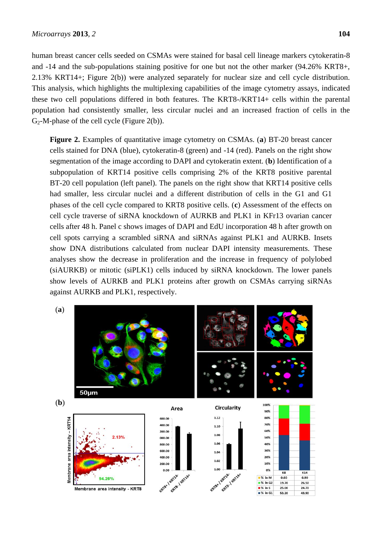human breast cancer cells seeded on CSMAs were stained for basal cell lineage markers cytokeratin-8 and -14 and the sub-populations staining positive for one but not the other marker (94.26% KRT8+, 2.13% KRT14+; Figure 2(b)) were analyzed separately for nuclear size and cell cycle distribution. This analysis, which highlights the multiplexing capabilities of the image cytometry assays, indicated these two cell populations differed in both features. The KRT8-/KRT14+ cells within the parental population had consistently smaller, less circular nuclei and an increased fraction of cells in the  $G_2$ -M-phase of the cell cycle (Figure 2(b)).

**Figure 2.** Examples of quantitative image cytometry on CSMAs. (a) BT-20 breast cancer cells stained for DNA (blue), cytokeratin-8 (green) and -14 (red). Panels on the right show segmentation of the image according to DAPI and cytokeratin extent. (**b**) Identification of a subpopulation of KRT14 positive cells comprising 2% of the KRT8 positive parental BT-20 cell population (left panel). The panels on the right show that KRT14 positive cells had smaller, less circular nuclei and a different distribution of cells in the G1 and G1 phases of the cell cycle compared to KRT8 positive cells. (**c**) Assessment of the effects on cell cycle traverse of siRNA knockdown of AURKB and PLK1 in KFr13 ovarian cancer cells after 48 h. Panel c shows images of DAPI and EdU incorporation 48 h after growth on cell spots carrying a scrambled siRNA and siRNAs against PLK1 and AURKB. Insets show DNA distributions calculated from nuclear DAPI intensity measurements. These analyses show the decrease in proliferation and the increase in frequency of polylobed (siAURKB) or mitotic (siPLK1) cells induced by siRNA knockdown. The lower panels show levels of AURKB and PLK1 proteins after growth on CSMAs carrying siRNAs against AURKB and PLK1, respectively.

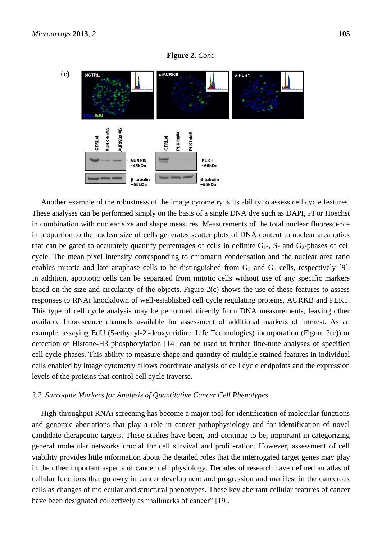



Another example of the robustness of the image cytometry is its ability to assess cell cycle features. These analyses can be performed simply on the basis of a single DNA dye such as DAPI, PI or Hoechst in combination with nuclear size and shape measures. Measurements of the total nuclear fluorescence in proportion to the nuclear size of cells generates scatter plots of DNA content to nuclear area ratios that can be gated to accurately quantify percentages of cells in definite  $G_1$ -, S- and  $G_2$ -phases of cell cycle. The mean pixel intensity corresponding to chromatin condensation and the nuclear area ratio enables mitotic and late anaphase cells to be distinguished from  $G_2$  and  $G_1$  cells, respectively [9]. In addition, apoptotic cells can be separated from mitotic cells without use of any specific markers based on the size and circularity of the objects. Figure 2(c) shows the use of these features to assess responses to RNAi knockdown of well-established cell cycle regulating proteins, AURKB and PLK1. This type of cell cycle analysis may be performed directly from DNA measurements, leaving other available fluorescence channels available for assessment of additional markers of interest. As an example, assaying EdU (5-ethynyl-2'-deoxyuridine, Life Technologies) incorporation (Figure 2(c)) or detection of Histone-H3 phosphorylation [14] can be used to further fine-tune analyses of specified cell cycle phases. This ability to measure shape and quantity of multiple stained features in individual cells enabled by image cytometry allows coordinate analysis of cell cycle endpoints and the expression levels of the proteins that control cell cycle traverse.

## *3.2. Surrogate Markers for Analysis of Quantitative Cancer Cell Phenotypes*

High-throughput RNAi screening has become a major tool for identification of molecular functions and genomic aberrations that play a role in cancer pathophysiology and for identification of novel candidate therapeutic targets. These studies have been, and continue to be, important in categorizing general molecular networks crucial for cell survival and proliferation. However, assessment of cell viability provides little information about the detailed roles that the interrogated target genes may play in the other important aspects of cancer cell physiology. Decades of research have defined an atlas of cellular functions that go awry in cancer development and progression and manifest in the cancerous cells as changes of molecular and structural phenotypes. These key aberrant cellular features of cancer have been designated collectively as "hallmarks of cancer" [19].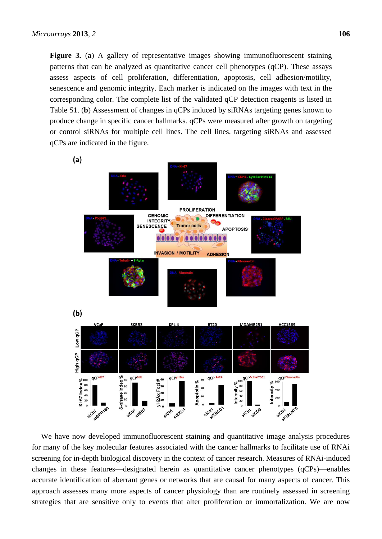**Figure 3. (a)** A gallery of representative images showing immunofluorescent staining patterns that can be analyzed as quantitative cancer cell phenotypes (qCP). These assays assess aspects of cell proliferation, differentiation, apoptosis, cell adhesion/motility, senescence and genomic integrity. Each marker is indicated on the images with text in the corresponding color. The complete list of the validated qCP detection reagents is listed in Table S1. (**b**) Assessment of changes in qCPs induced by siRNAs targeting genes known to produce change in specific cancer hallmarks. qCPs were measured after growth on targeting or control siRNAs for multiple cell lines. The cell lines, targeting siRNAs and assessed qCPs are indicated in the figure.



We have now developed immunofluorescent staining and quantitative image analysis procedures for many of the key molecular features associated with the cancer hallmarks to facilitate use of RNAi screening for in-depth biological discovery in the context of cancer research. Measures of RNAi-induced changes in these features—designated herein as quantitative cancer phenotypes (qCPs)—enables accurate identification of aberrant genes or networks that are causal for many aspects of cancer. This approach assesses many more aspects of cancer physiology than are routinely assessed in screening strategies that are sensitive only to events that alter proliferation or immortalization. We are now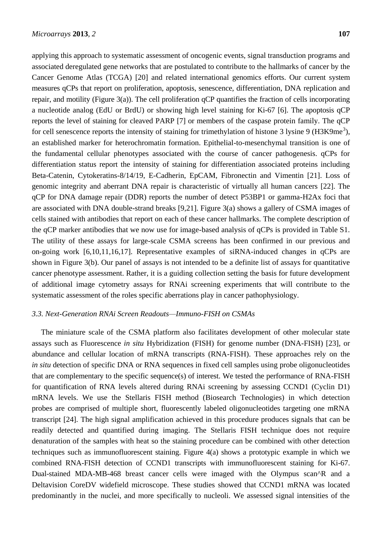applying this approach to systematic assessment of oncogenic events, signal transduction programs and associated deregulated gene networks that are postulated to contribute to the hallmarks of cancer by the Cancer Genome Atlas (TCGA) [20] and related international genomics efforts. Our current system measures qCPs that report on proliferation, apoptosis, senescence, differentiation, DNA replication and repair, and motility (Figure 3(a)). The cell proliferation qCP quantifies the fraction of cells incorporating a nucleotide analog (EdU or BrdU) or showing high level staining for Ki-67 [6]. The apoptosis qCP reports the level of staining for cleaved PARP [7] or members of the caspase protein family. The qCP for cell senescence reports the intensity of staining for trimethylation of histone 3 lysine 9 (H3K9me<sup>3</sup>), an established marker for heterochromatin formation. Epithelial-to-mesenchymal transition is one of the fundamental cellular phenotypes associated with the course of cancer pathogenesis. qCPs for differentiation status report the intensity of staining for differentiation associated proteins including Beta-Catenin, Cytokeratins-8/14/19, E-Cadherin, EpCAM, Fibronectin and Vimentin [21]. Loss of genomic integrity and aberrant DNA repair is characteristic of virtually all human cancers [22]. The qCP for DNA damage repair (DDR) reports the number of detect P53BP1 or gamma-H2Ax foci that are associated with DNA double-strand breaks [9,21]. Figure 3(a) shows a gallery of CSMA images of cells stained with antibodies that report on each of these cancer hallmarks. The complete description of the qCP marker antibodies that we now use for image-based analysis of qCPs is provided in Table S1. The utility of these assays for large-scale CSMA screens has been confirmed in our previous and on-going work [6,10,11,16,17]. Representative examples of siRNA-induced changes in qCPs are shown in Figure 3(b). Our panel of assays is not intended to be a definite list of assays for quantitative cancer phenotype assessment. Rather, it is a guiding collection setting the basis for future development of additional image cytometry assays for RNAi screening experiments that will contribute to the systematic assessment of the roles specific aberrations play in cancer pathophysiology.

## *3.3. Next-Generation RNAi Screen Readouts—Immuno-FISH on CSMAs*

The miniature scale of the CSMA platform also facilitates development of other molecular state assays such as Fluorescence *in situ* Hybridization (FISH) for genome number (DNA-FISH) [23], or abundance and cellular location of mRNA transcripts (RNA-FISH). These approaches rely on the *in situ* detection of specific DNA or RNA sequences in fixed cell samples using probe oligonucleotides that are complementary to the specific sequence(s) of interest. We tested the performance of RNA-FISH for quantification of RNA levels altered during RNAi screening by assessing CCND1 (Cyclin D1) mRNA levels. We use the Stellaris FISH method (Biosearch Technologies) in which detection probes are comprised of multiple short, fluorescently labeled oligonucleotides targeting one mRNA transcript [24]. The high signal amplification achieved in this procedure produces signals that can be readily detected and quantified during imaging. The Stellaris FISH technique does not require denaturation of the samples with heat so the staining procedure can be combined with other detection techniques such as immunofluorescent staining. Figure 4(a) shows a prototypic example in which we combined RNA-FISH detection of CCND1 transcripts with immunofluorescent staining for Ki-67. Dual-stained MDA-MB-468 breast cancer cells were imaged with the Olympus scan^R and a Deltavision CoreDV widefield microscope. These studies showed that CCND1 mRNA was located predominantly in the nuclei, and more specifically to nucleoli. We assessed signal intensities of the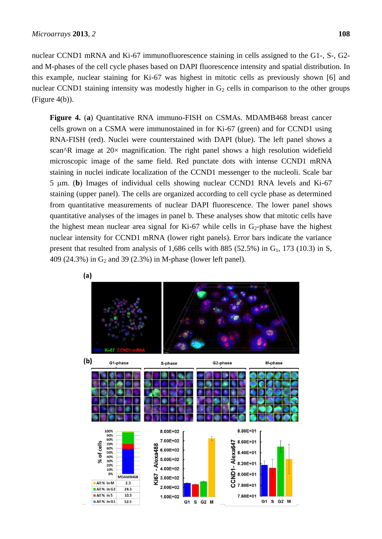nuclear CCND1 mRNA and Ki-67 immunofluorescence staining in cells assigned to the G1-, S-, G2 and M-phases of the cell cycle phases based on DAPI fluorescence intensity and spatial distribution. In this example, nuclear staining for Ki-67 was highest in mitotic cells as previously shown [6] and nuclear CCND1 staining intensity was modestly higher in  $G_2$  cells in comparison to the other groups (Figure 4(b)).

**Figure 4.** (**a**) Quantitative RNA immuno-FISH on CSMAs. MDAMB468 breast cancer cells grown on a CSMA were immunostained in for Ki-67 (green) and for CCND1 using RNA-FISH (red). Nuclei were counterstained with DAPI (blue). The left panel shows a scan<sup> $\Delta$ </sup>R image at  $20\times$  magnification. The right panel shows a high resolution widefield microscopic image of the same field. Red punctate dots with intense CCND1 mRNA staining in nuclei indicate localization of the CCND1 messenger to the nucleoli. Scale bar 5 m. (**b**) Images of individual cells showing nuclear CCND1 RNA levels and Ki-67 staining (upper panel). The cells are organized according to cell cycle phase as determined from quantitative measurements of nuclear DAPI fluorescence. The lower panel shows quantitative analyses of the images in panel b. These analyses show that mitotic cells have the highest mean nuclear area signal for Ki-67 while cells in  $G_2$ -phase have the highest nuclear intensity for CCND1 mRNA (lower right panels). Error bars indicate the variance present that resulted from analysis of 1,686 cells with 885 (52.5%) in  $G_1$ , 173 (10.3) in S, 409 (24.3%) in G<sup>2</sup> and 39 (2.3%) in M-phase (lower left panel).

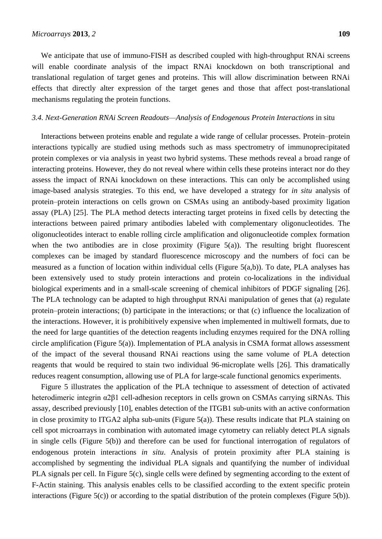We anticipate that use of immuno-FISH as described coupled with high-throughput RNAi screens will enable coordinate analysis of the impact RNAi knockdown on both transcriptional and translational regulation of target genes and proteins. This will allow discrimination between RNAi effects that directly alter expression of the target genes and those that affect post-translational mechanisms regulating the protein functions.

## *3.4. Next-Generation RNAi Screen Readouts—Analysis of Endogenous Protein Interactions* in situ

Interactions between proteins enable and regulate a wide range of cellular processes. Protein–protein interactions typically are studied using methods such as mass spectrometry of immunoprecipitated protein complexes or via analysis in yeast two hybrid systems. These methods reveal a broad range of interacting proteins. However, they do not reveal where within cells these proteins interact nor do they assess the impact of RNAi knockdown on these interactions. This can only be accomplished using image-based analysis strategies. To this end, we have developed a strategy for *in situ* analysis of protein–protein interactions on cells grown on CSMAs using an antibody-based proximity ligation assay (PLA) [25]. The PLA method detects interacting target proteins in fixed cells by detecting the interactions between paired primary antibodies labeled with complementary oligonucleotides. The oligonucleotides interact to enable rolling circle amplification and oligonucleotide complex formation when the two antibodies are in close proximity (Figure  $5(a)$ ). The resulting bright fluorescent complexes can be imaged by standard fluorescence microscopy and the numbers of foci can be measured as a function of location within individual cells (Figure 5(a,b)). To date, PLA analyses has been extensively used to study protein interactions and protein co-localizations in the individual biological experiments and in a small-scale screening of chemical inhibitors of PDGF signaling [26]. The PLA technology can be adapted to high throughput RNAi manipulation of genes that (a) regulate protein–protein interactions; (b) participate in the interactions; or that (c) influence the localization of the interactions. However, it is prohibitively expensive when implemented in multiwell formats, due to the need for large quantities of the detection reagents including enzymes required for the DNA rolling circle amplification (Figure 5(a)). Implementation of PLA analysis in CSMA format allows assessment of the impact of the several thousand RNAi reactions using the same volume of PLA detection reagents that would be required to stain two individual 96-microplate wells [26]. This dramatically reduces reagent consumption, allowing use of PLA for large-scale functional genomics experiments.

Figure 5 illustrates the application of the PLA technique to assessment of detection of activated heterodimeric integrin α2β1 cell-adhesion receptors in cells grown on CSMAs carrying siRNAs. This assay, described previously [10], enables detection of the ITGB1 sub-units with an active conformation in close proximity to ITGA2 alpha sub-units (Figure 5(a)). These results indicate that PLA staining on cell spot microarrays in combination with automated image cytometry can reliably detect PLA signals in single cells (Figure 5(b)) and therefore can be used for functional interrogation of regulators of endogenous protein interactions *in situ*. Analysis of protein proximity after PLA staining is accomplished by segmenting the individual PLA signals and quantifying the number of individual PLA signals per cell. In Figure 5(c), single cells were defined by segmenting according to the extent of F-Actin staining. This analysis enables cells to be classified according to the extent specific protein interactions (Figure 5(c)) or according to the spatial distribution of the protein complexes (Figure 5(b)).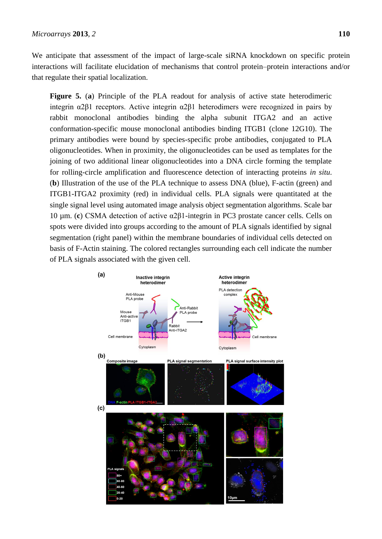We anticipate that assessment of the impact of large-scale siRNA knockdown on specific protein interactions will facilitate elucidation of mechanisms that control protein–protein interactions and/or that regulate their spatial localization.

**Figure 5.** (**a**) Principle of the PLA readout for analysis of active state heterodimeric integrin α2β1 receptors. Active integrin α2β1 heterodimers were recognized in pairs by rabbit monoclonal antibodies binding the alpha subunit ITGA2 and an active conformation-specific mouse monoclonal antibodies binding ITGB1 (clone 12G10). The primary antibodies were bound by species-specific probe antibodies, conjugated to PLA oligonucleotides. When in proximity, the oligonucleotides can be used as templates for the joining of two additional linear oligonucleotides into a DNA circle forming the template for rolling-circle amplification and fluorescence detection of interacting proteins *in situ*. (**b**) Illustration of the use of the PLA technique to assess DNA (blue), F-actin (green) and ITGB1-ITGA2 proximity (red) in individual cells. PLA signals were quantitated at the single signal level using automated image analysis object segmentation algorithms. Scale bar 10 µm. (**c**) CSMA detection of active α2β1-integrin in PC3 prostate cancer cells. Cells on spots were divided into groups according to the amount of PLA signals identified by signal segmentation (right panel) within the membrane boundaries of individual cells detected on basis of F-Actin staining. The colored rectangles surrounding each cell indicate the number of PLA signals associated with the given cell.

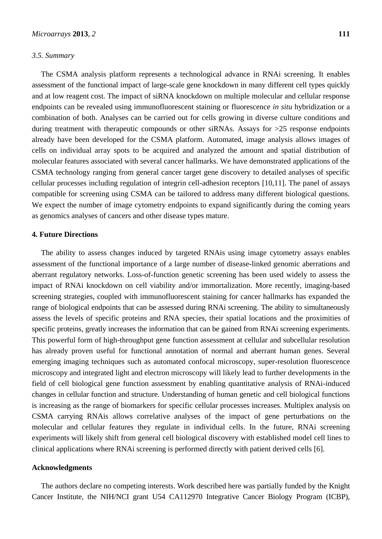## *3.5. Summary*

The CSMA analysis platform represents a technological advance in RNAi screening. It enables assessment of the functional impact of large-scale gene knockdown in many different cell types quickly and at low reagent cost. The impact of siRNA knockdown on multiple molecular and cellular response endpoints can be revealed using immunofluorescent staining or fluorescence *in situ* hybridization or a combination of both. Analyses can be carried out for cells growing in diverse culture conditions and during treatment with therapeutic compounds or other siRNAs. Assays for >25 response endpoints already have been developed for the CSMA platform. Automated, image analysis allows images of cells on individual array spots to be acquired and analyzed the amount and spatial distribution of molecular features associated with several cancer hallmarks. We have demonstrated applications of the CSMA technology ranging from general cancer target gene discovery to detailed analyses of specific cellular processes including regulation of integrin cell-adhesion receptors [10,11]. The panel of assays compatible for screening using CSMA can be tailored to address many different biological questions. We expect the number of image cytometry endpoints to expand significantly during the coming years as genomics analyses of cancers and other disease types mature.

## **4. Future Directions**

The ability to assess changes induced by targeted RNAis using image cytometry assays enables assessment of the functional importance of a large number of disease-linked genomic aberrations and aberrant regulatory networks. Loss-of-function genetic screening has been used widely to assess the impact of RNAi knockdown on cell viability and/or immortalization. More recently, imaging-based screening strategies, coupled with immunofluorescent staining for cancer hallmarks has expanded the range of biological endpoints that can be assessed during RNAi screening. The ability to simultaneously assess the levels of specific proteins and RNA species, their spatial locations and the proximities of specific proteins, greatly increases the information that can be gained from RNAi screening experiments. This powerful form of high-throughput gene function assessment at cellular and subcellular resolution has already proven useful for functional annotation of normal and aberrant human genes. Several emerging imaging techniques such as automated confocal microscopy, super-resolution fluorescence microscopy and integrated light and electron microscopy will likely lead to further developments in the field of cell biological gene function assessment by enabling quantitative analysis of RNAi-induced changes in cellular function and structure. Understanding of human genetic and cell biological functions is increasing as the range of biomarkers for specific cellular processes increases. Multiplex analysis on CSMA carrying RNAis allows correlative analyses of the impact of gene perturbations on the molecular and cellular features they regulate in individual cells. In the future, RNAi screening experiments will likely shift from general cell biological discovery with established model cell lines to clinical applications where RNAi screening is performed directly with patient derived cells [6].

## **Acknowledgments**

The authors declare no competing interests. Work described here was partially funded by the Knight Cancer Institute, the NIH/NCI grant U54 CA112970 Integrative Cancer Biology Program (ICBP),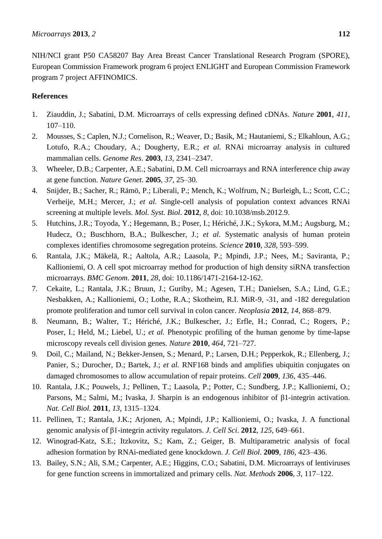NIH/NCI grant P50 CA58207 Bay Area Breast Cancer Translational Research Program (SPORE), European Commission Framework program 6 project ENLIGHT and European Commission Framework program 7 project AFFINOMICS.

# **References**

- 1. Ziauddin, J.; Sabatini, D.M. Microarrays of cells expressing defined cDNAs. *Nature* **2001**, *411*, 107–110.
- 2. Mousses, S.; Caplen, N.J.; Cornelison, R.; Weaver, D.; Basik, M.; Hautaniemi, S.; Elkahloun, A.G.; Lotufo, R.A.; Choudary, A.; Dougherty, E.R.; *et al.* RNAi microarray analysis in cultured mammalian cells. *Genome Res*. **2003**, *13*, 2341–2347.
- 3. Wheeler, D.B.; Carpenter, A.E.; Sabatini, D.M. Cell microarrays and RNA interference chip away at gene function. *Nature Genet*. **2005**, *37*, 25–30.
- 4. Snijder, B.; Sacher, R.; Rämö, P.; Liberali, P.; Mench, K.; Wolfrum, N.; Burleigh, L.; Scott, C.C.; Verheije, M.H.; Mercer, J.; *et al.* Single-cell analysis of population context advances RNAi screening at multiple levels. *Mol. Syst. Biol*. **2012**, *8*, doi: 10.1038/msb.2012.9.
- 5. Hutchins, J.R.; Toyoda, Y.; Hegemann, B.; Poser, I.; Hériché, J.K.; Sykora, M.M.; Augsburg, M.; Hudecz, O.; Buschhorn, B.A.; Bulkescher, J.; *et al.* Systematic analysis of human protein complexes identifies chromosome segregation proteins. *Science* **2010**, *328*, 593–599.
- 6. Rantala, J.K.; Mäkelä, R.; Aaltola, A.R.; Laasola, P.; Mpindi, J.P.; Nees, M.; Saviranta, P.; Kallioniemi, O. A cell spot microarray method for production of high density siRNA transfection microarrays. *BMC Genom*. **2011**, *28*, doi: 10.1186/1471-2164-12-162.
- 7. Cekaite, L.; Rantala, J.K.; Bruun, J.; Guriby, M.; Agesen, T.H.; Danielsen, S.A.; Lind, G.E.; Nesbakken, A.; Kallioniemi, O.; Lothe, R.A.; Skotheim, R.I. MiR-9, -31, and -182 deregulation promote proliferation and tumor cell survival in colon cancer. *Neoplasia* **2012**, *14*, 868–879.
- 8. Neumann, B.; Walter, T.; Hériché, J.K.; Bulkescher, J.; Erfle, H.; Conrad, C.; Rogers, P.; Poser, I.; Held, M.; Liebel, U.; *et al.* Phenotypic profiling of the human genome by time-lapse microscopy reveals cell division genes. *Nature* **2010**, *464*, 721–727.
- 9. Doil, C.; Mailand, N.; Bekker-Jensen, S.; Menard, P.; Larsen, D.H.; Pepperkok, R.; Ellenberg, J.; Panier, S.; Durocher, D.; Bartek, J.; *et al.* RNF168 binds and amplifies ubiquitin conjugates on damaged chromosomes to allow accumulation of repair proteins. *Cell* **2009**, *136*, 435–446.
- 10. Rantala, J.K.; Pouwels, J.; Pellinen, T.; Laasola, P.; Potter, C.; Sundberg, J.P.; Kallioniemi, O.; Parsons, M.; Salmi, M.; Ivaska, J. Sharpin is an endogenous inhibitor of β1-integrin activation. *Nat. Cell Biol.* **2011**, *13*, 1315–1324.
- 11. Pellinen, T.; Rantala, J.K.; Arjonen, A.; Mpindi, J.P.; Kallioniemi, O.; Ivaska, J. A functional genomic analysis of β1-integrin activity regulators. *J. Cell Sci*. **2012**, *125*, 649–661.
- 12. Winograd-Katz, S.E.; Itzkovitz, S.; Kam, Z.; Geiger, B. Multiparametric analysis of focal adhesion formation by RNAi-mediated gene knockdown. *J. Cell Biol*. **2009**, *186*, 423–436.
- 13. Bailey, S.N.; Ali, S.M.; Carpenter, A.E.; Higgins, C.O.; Sabatini, D.M. Microarrays of lentiviruses for gene function screens in immortalized and primary cells. *Nat. Methods* **2006**, *3*, 117–122.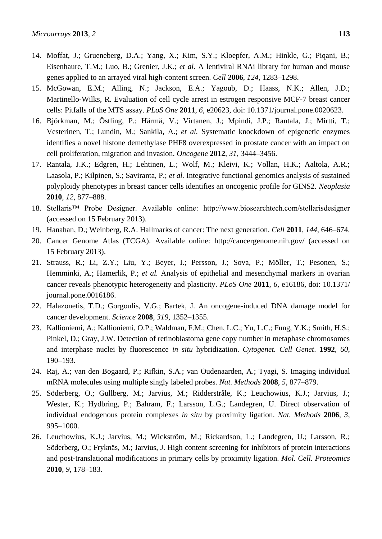- 14. Moffat, J.; Grueneberg, D.A.; Yang, X.; Kim, S.Y.; Kloepfer, A.M.; Hinkle, G.; Piqani, B.; Eisenhaure, T.M.; Luo, B.; Grenier, J.K.; *et al*. A lentiviral RNAi library for human and mouse genes applied to an arrayed viral high-content screen. *Cell* **2006**, *124*, 1283–1298.
- 15. McGowan, E.M.; Alling, N.; Jackson, E.A.; Yagoub, D.; Haass, N.K.; Allen, J.D.; Martinello-Wilks, R. Evaluation of cell cycle arrest in estrogen responsive MCF-7 breast cancer cells: Pitfalls of the MTS assay. *PLoS One* **2011**, *6*, e20623, doi: 10.1371/journal.pone.0020623.
- 16. Björkman, M.; Östling, P.; Härmä, V.; Virtanen, J.; Mpindi, J.P.; Rantala, J.; Mirtti, T.; Vesterinen, T.; Lundin, M.; Sankila, A.; *et al.* Systematic knockdown of epigenetic enzymes identifies a novel histone demethylase PHF8 overexpressed in prostate cancer with an impact on cell proliferation, migration and invasion. *Oncogene* **2012**, *31*, 3444–3456.
- 17. Rantala, J.K.; Edgren, H.; Lehtinen, L.; Wolf, M.; Kleivi, K.; Vollan, H.K.; Aaltola, A.R.; Laasola, P.; Kilpinen, S.; Saviranta, P.; *et al.* Integrative functional genomics analysis of sustained polyploidy phenotypes in breast cancer cells identifies an oncogenic profile for GINS2. *Neoplasia* **2010**, *12*, 877–888.
- 18. Stellaris™ Probe Designer. Available online: http://www.biosearchtech.com/stellarisdesigner (accessed on 15 February 2013).
- 19. Hanahan, D.; Weinberg, R.A. Hallmarks of cancer: The next generation. *Cell* **2011**, *144*, 646–674.
- 20. Cancer Genome Atlas (TCGA). Available online: http://cancergenome.nih.gov/ (accessed on 15 February 2013).
- 21. Strauss, R.; Li, Z.Y.; Liu, Y.; Beyer, I.; Persson, J.; Sova, P.; Möller, T.; Pesonen, S.; Hemminki, A.; Hamerlik, P.; *et al.* Analysis of epithelial and mesenchymal markers in ovarian cancer reveals phenotypic heterogeneity and plasticity. *PLoS One* **2011**, *6*, e16186, doi: 10.1371/ journal.pone.0016186.
- 22. Halazonetis, T.D.; Gorgoulis, V.G.; Bartek, J. An oncogene-induced DNA damage model for cancer development. *Science* **2008**, *319*, 1352–1355.
- 23. Kallioniemi, A.; Kallioniemi, O.P.; Waldman, F.M.; Chen, L.C.; Yu, L.C.; Fung, Y.K.; Smith, H.S.; Pinkel, D.; Gray, J.W. Detection of retinoblastoma gene copy number in metaphase chromosomes and interphase nuclei by fluorescence *in situ* hybridization. *Cytogenet. Cell Genet*. **1992**, *60*, 190–193.
- 24. Raj, A.; van den Bogaard, P.; Rifkin, S.A.; van Oudenaarden, A.; Tyagi, S. Imaging individual mRNA molecules using multiple singly labeled probes. *Nat. Methods* **2008**, *5*, 877–879.
- 25. Söderberg, O.; Gullberg, M.; Jarvius, M.; Ridderstråle, K.; Leuchowius, K.J.; Jarvius, J.; Wester, K.; Hydbring, P.; Bahram, F.; Larsson, L.G.; Landegren, U. Direct observation of individual endogenous protein complexes *in situ* by proximity ligation. *Nat. Methods* **2006**, *3*, 995–1000.
- 26. Leuchowius, K.J.; Jarvius, M.; Wickström, M.; Rickardson, L.; Landegren, U.; Larsson, R.; Söderberg, O.; Fryknäs, M.; Jarvius, J. High content screening for inhibitors of protein interactions and post-translational modifications in primary cells by proximity ligation. *Mol. Cell. Proteomics* **2010**, *9*, 178–183.